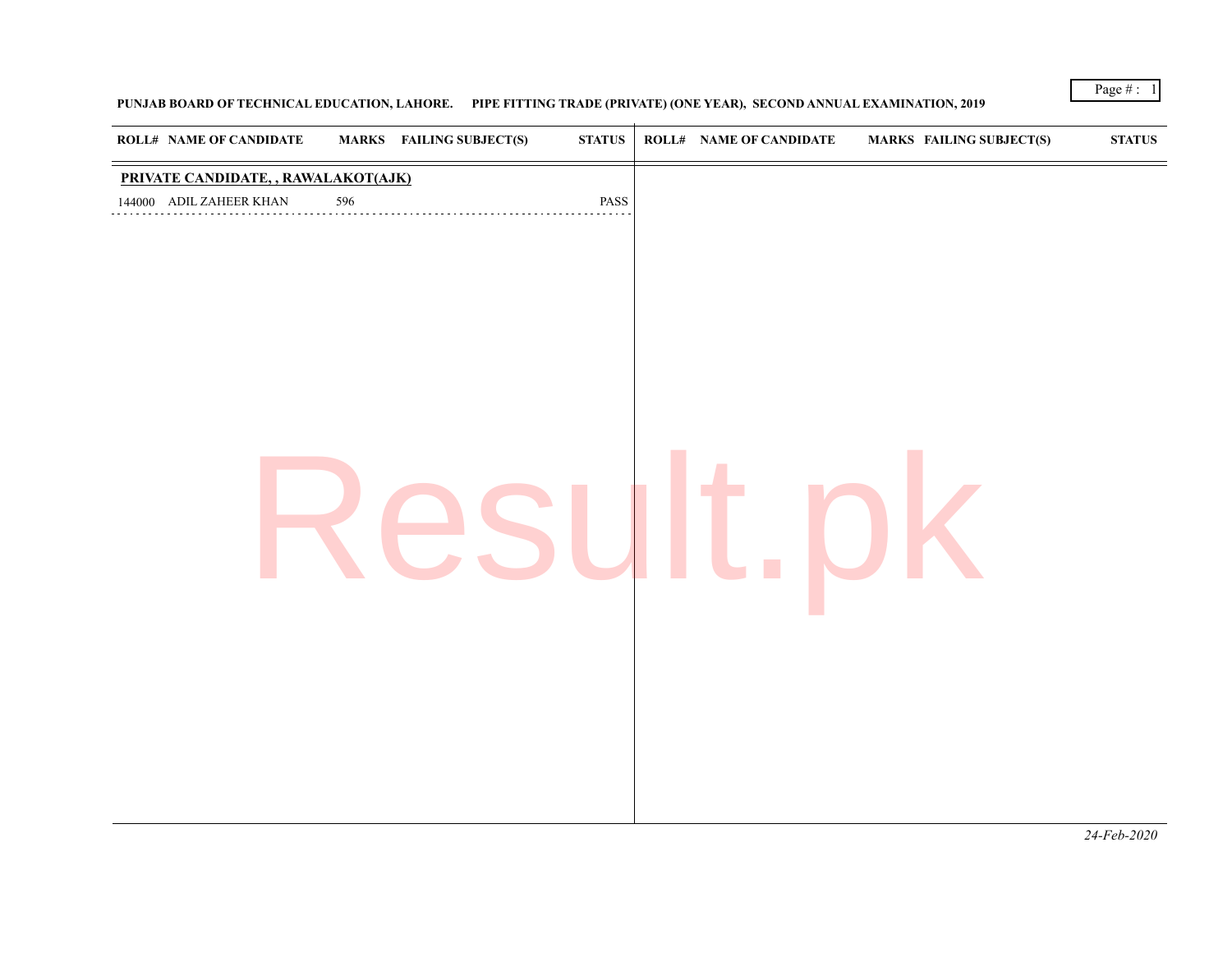## **PUNJAB BOARD OF TECHNICAL EDUCATION, LAHORE. PIPE FITTING TRADE (PRIVATE) (ONE YEAR), SECOND ANNUAL EXAMINATION, 2019**

*24-Feb-2020*

Page  $\# : 1$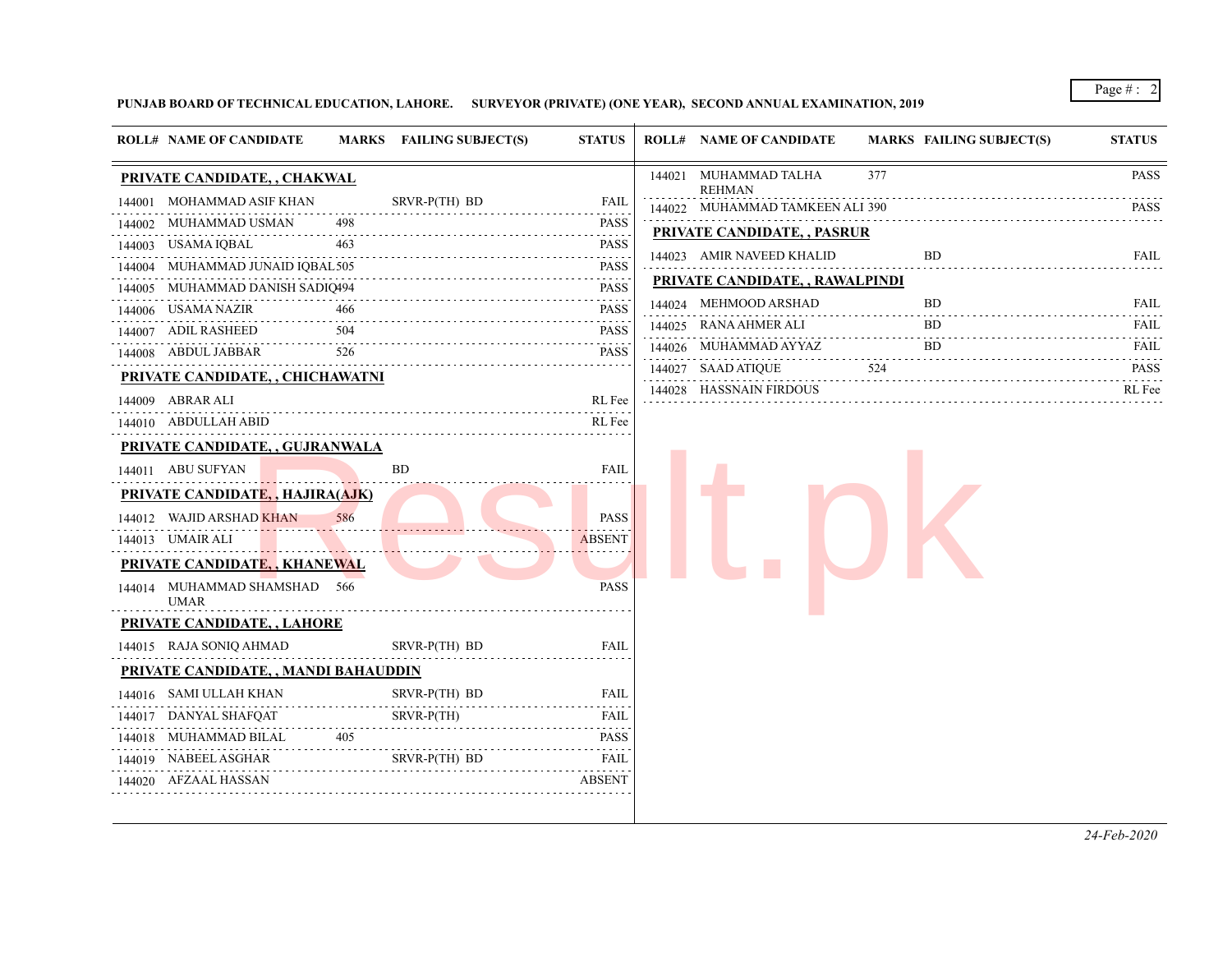Page # : 2

**PUNJAB BOARD OF TECHNICAL EDUCATION, LAHORE. SURVEYOR (PRIVATE) (ONE YEAR), SECOND ANNUAL EXAMINATION, 2019**

| <b>ROLL# NAME OF CANDIDATE</b>         |          | MARKS FAILING SUBJECT(S) | <b>STATUS</b>    | <b>ROLL# NAME OF CANDIDATE</b>                | <b>MARKS FAILING SUBJECT(S)</b> | <b>STATUS</b> |
|----------------------------------------|----------|--------------------------|------------------|-----------------------------------------------|---------------------------------|---------------|
| PRIVATE CANDIDATE, , CHAKWAL           |          |                          |                  | 377<br>144021 MUHAMMAD TALHA<br><b>REHMAN</b> |                                 | <b>PASS</b>   |
| 144001 MOHAMMAD ASIF KHAN              |          | SRVR-P(TH) BD            | FAIL             | 144022 MUHAMMAD TAMKEEN ALI 390               |                                 | <b>PASS</b>   |
| 144002 MUHAMMAD USMAN                  | 498      |                          | PASS             | PRIVATE CANDIDATE, , PASRUR                   |                                 |               |
| 144003 USAMA IQBAL                     | 463      |                          | <b>PASS</b>      | 144023 AMIR NAVEED KHALID                     | <b>BD</b>                       | FAIL          |
| 144004 MUHAMMAD JUNAID IQBAL505        |          |                          | <b>PASS</b>      |                                               |                                 |               |
| 144005 MUHAMMAD DANISH SADIQ494        |          |                          | <b>PASS</b>      | <b>PRIVATE CANDIDATE, , RAWALPINDI</b>        |                                 |               |
| 144006 USAMA NAZIR                     | 466      |                          | <b>PASS</b>      | 144024 MEHMOOD ARSHAD                         | BD                              | FAIL          |
| 144007 ADIL RASHEED                    | 504      |                          | <b>PASS</b><br>. | 144025 RANA AHMER ALI                         | <b>BD</b>                       | FAIL          |
| 144008 ABDUL JABBAR                    | 526      |                          | <b>PASS</b>      | 144026 MUHAMMAD AYYAZ                         | BD.                             | FAIL          |
| PRIVATE CANDIDATE, , CHICHAWATNI       |          |                          |                  | 144027 SAAD ATIQUE<br>524                     |                                 | <b>PASS</b>   |
| 144009 ABRAR ALI                       |          |                          | RL Fee           | 144028 HASSNAIN FIRDOUS                       |                                 | RL Fee        |
| 144010 ABDULLAH ABID                   |          |                          | RL Fee           |                                               |                                 |               |
| PRIVATE CANDIDATE, , GUJRANWALA        |          |                          |                  |                                               |                                 |               |
| 144011 ABU SUFYAN                      |          | <b>BD</b>                | <b>FAIL</b>      |                                               |                                 |               |
| <b>PRIVATE CANDIDATE,, HAJIRA(AJK)</b> |          |                          |                  |                                               |                                 |               |
| 144012 WAJID ARSHAD KHAN               | 586      |                          | <b>PASS</b>      |                                               |                                 |               |
| 144013 UMAIR ALI                       |          |                          | <b>ABSENT</b>    |                                               |                                 |               |
| <b>PRIVATE CANDIDATE,, KHANEWAL</b>    |          |                          |                  |                                               |                                 |               |
| 144014 MUHAMMAD SHAMSHAD 566           |          |                          | <b>PASS</b>      |                                               |                                 |               |
| <b>UMAR</b>                            |          |                          |                  |                                               |                                 |               |
| <b>PRIVATE CANDIDATE, , LAHORE</b>     |          |                          |                  |                                               |                                 |               |
| 144015 RAJA SONIQ AHMAD                |          | SRVR-P(TH) BD            | <b>FAIL</b>      |                                               |                                 |               |
| PRIVATE CANDIDATE, , MANDI BAHAUDDIN   |          |                          |                  |                                               |                                 |               |
| 144016 SAMI ULLAH KHAN                 |          | SRVR-P(TH) BD            | FAIL             |                                               |                                 |               |
| 144017 DANYAL SHAFQAT                  |          | SRVR-P(TH)               | FAIL             |                                               |                                 |               |
| 144018 MUHAMMAD BILAL                  | .<br>405 |                          | <b>PASS</b>      |                                               |                                 |               |
| 144019 NABEEL ASGHAR                   |          | SRVR-P(TH) BD            | FAIL             |                                               |                                 |               |
|                                        |          |                          | ABSENT           |                                               |                                 |               |